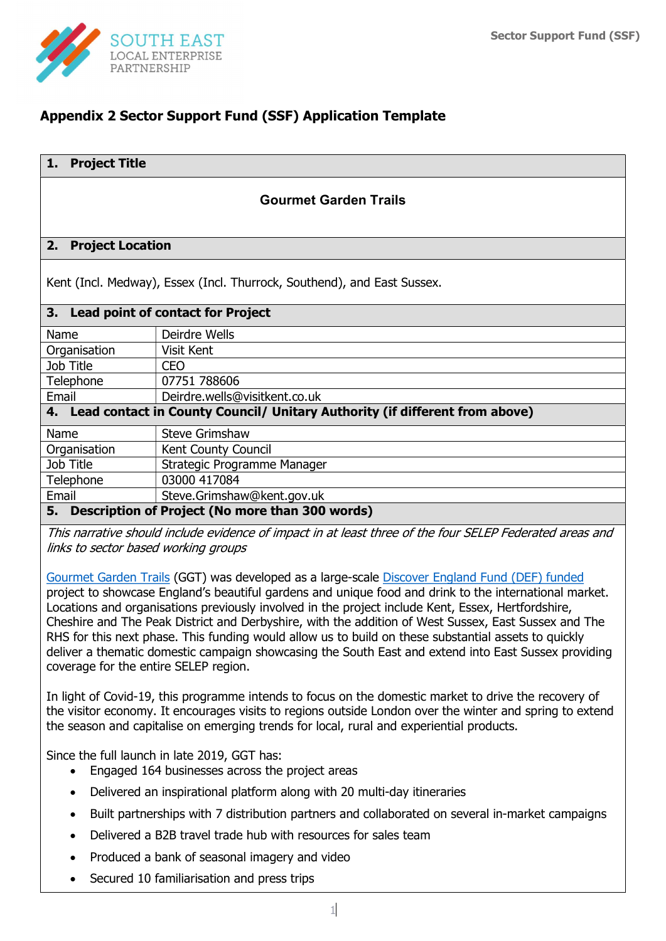

# Appendix 2 Sector Support Fund (SSF) Application Template

# Gourmet Garden Trails

#### 2. Project Location

Kent (Incl. Medway), Essex (Incl. Thurrock, Southend), and East Sussex.

| 3. Lead point of contact for Project                                           |                               |  |  |  |
|--------------------------------------------------------------------------------|-------------------------------|--|--|--|
| Name                                                                           | Deirdre Wells                 |  |  |  |
| Organisation                                                                   | Visit Kent                    |  |  |  |
| Job Title                                                                      | CEO                           |  |  |  |
| Telephone                                                                      | 07751 788606                  |  |  |  |
| Email                                                                          | Deirdre.wells@visitkent.co.uk |  |  |  |
| 4. Lead contact in County Council/ Unitary Authority (if different from above) |                               |  |  |  |
| Name                                                                           | <b>Steve Grimshaw</b>         |  |  |  |
| Organisation                                                                   | Kent County Council           |  |  |  |
| Job Title                                                                      | Strategic Programme Manager   |  |  |  |
| Telephone                                                                      | 03000 417084                  |  |  |  |
| Email                                                                          | Steve.Grimshaw@kent.gov.uk    |  |  |  |
| Description of Project (No more than 300 words)<br>5.                          |                               |  |  |  |

This narrative should include evidence of impact in at least three of the four SELEP Federated areas and links to sector based working groups

Gourmet Garden Trails (GGT) was developed as a large-scale Discover England Fund (DEF) funded project to showcase England's beautiful gardens and unique food and drink to the international market. Locations and organisations previously involved in the project include Kent, Essex, Hertfordshire, Cheshire and The Peak District and Derbyshire, with the addition of West Sussex, East Sussex and The RHS for this next phase. This funding would allow us to build on these substantial assets to quickly deliver a thematic domestic campaign showcasing the South East and extend into East Sussex providing coverage for the entire SELEP region.

In light of Covid-19, this programme intends to focus on the domestic market to drive the recovery of the visitor economy. It encourages visits to regions outside London over the winter and spring to extend the season and capitalise on emerging trends for local, rural and experiential products.

Since the full launch in late 2019, GGT has:

- Engaged 164 businesses across the project areas
- Delivered an inspirational platform along with 20 multi-day itineraries
- Built partnerships with 7 distribution partners and collaborated on several in-market campaigns
- Delivered a B2B travel trade hub with resources for sales team
- Produced a bank of seasonal imagery and video
- Secured 10 familiarisation and press trips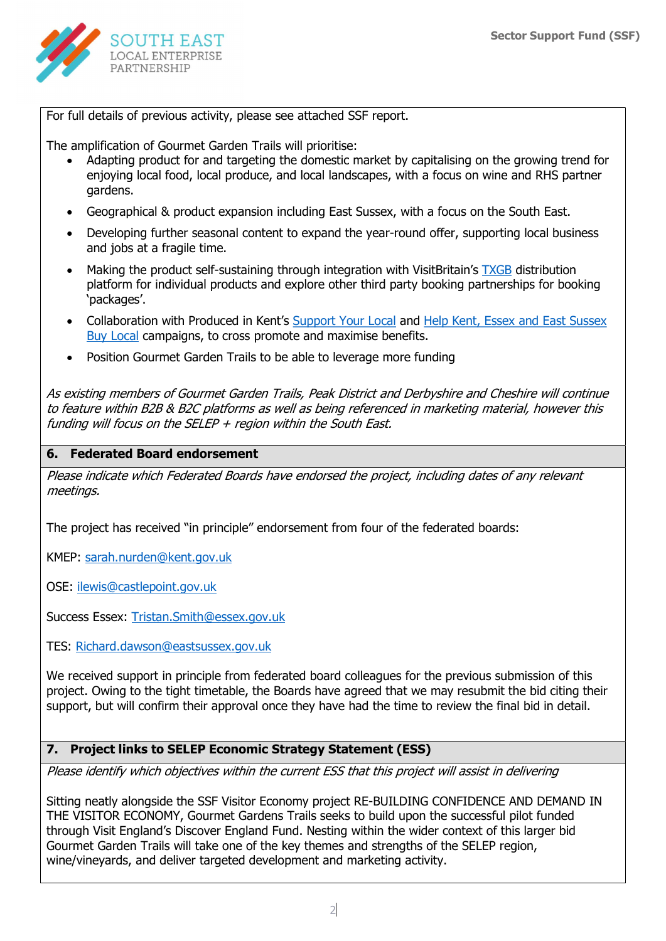

For full details of previous activity, please see attached SSF report.

The amplification of Gourmet Garden Trails will prioritise:

- Adapting product for and targeting the domestic market by capitalising on the growing trend for enjoying local food, local produce, and local landscapes, with a focus on wine and RHS partner gardens.
- Geographical & product expansion including East Sussex, with a focus on the South East.
- Developing further seasonal content to expand the year-round offer, supporting local business and jobs at a fragile time.
- Making the product self-sustaining through integration with VisitBritain's TXGB distribution platform for individual products and explore other third party booking partnerships for booking 'packages'.
- Collaboration with Produced in Kent's Support Your Local and Help Kent, Essex and East Sussex Buy Local campaigns, to cross promote and maximise benefits.
- Position Gourmet Garden Trails to be able to leverage more funding

As existing members of Gourmet Garden Trails, Peak District and Derbyshire and Cheshire will continue to feature within B2B & B2C platforms as well as being referenced in marketing material, however this funding will focus on the SELEP  $+$  region within the South East.

#### 6. Federated Board endorsement

Please indicate which Federated Boards have endorsed the project, including dates of any relevant meetings.

The project has received "in principle" endorsement from four of the federated boards:

KMEP: sarah.nurden@kent.gov.uk

OSE: ilewis@castlepoint.gov.uk

Success Essex: Tristan.Smith@essex.gov.uk

TES: Richard.dawson@eastsussex.gov.uk

We received support in principle from federated board colleagues for the previous submission of this project. Owing to the tight timetable, the Boards have agreed that we may resubmit the bid citing their support, but will confirm their approval once they have had the time to review the final bid in detail.

#### 7. Project links to SELEP Economic Strategy Statement (ESS)

Please identify which objectives within the current ESS that this project will assist in delivering

Sitting neatly alongside the SSF Visitor Economy project RE-BUILDING CONFIDENCE AND DEMAND IN THE VISITOR ECONOMY, Gourmet Gardens Trails seeks to build upon the successful pilot funded through Visit England's Discover England Fund. Nesting within the wider context of this larger bid Gourmet Garden Trails will take one of the key themes and strengths of the SELEP region, wine/vineyards, and deliver targeted development and marketing activity.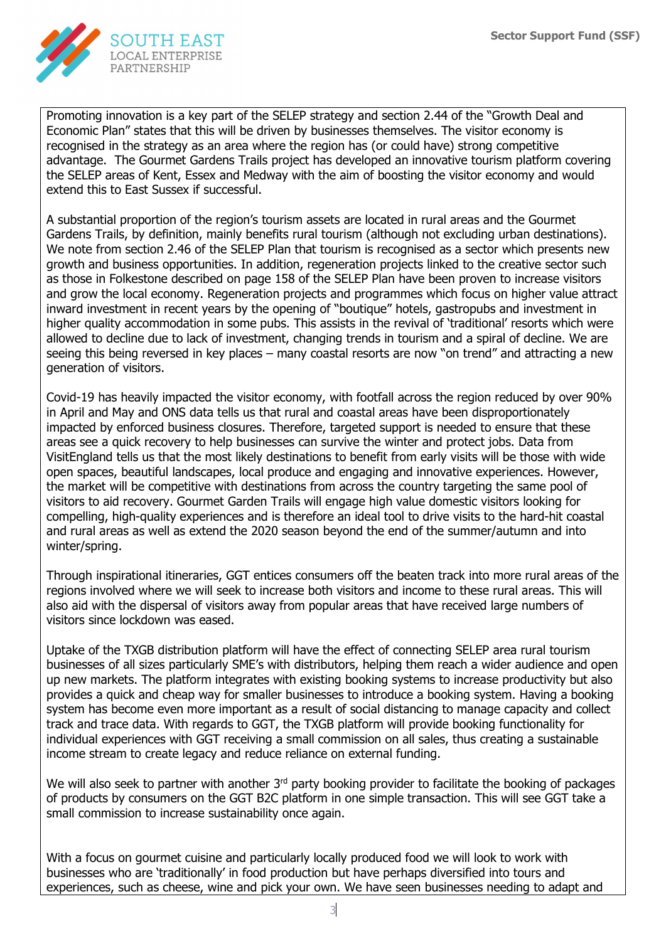

Promoting innovation is a key part of the SELEP strategy and section 2.44 of the "Growth Deal and Economic Plan" states that this will be driven by businesses themselves. The visitor economy is recognised in the strategy as an area where the region has (or could have) strong competitive advantage. The Gourmet Gardens Trails project has developed an innovative tourism platform covering the SELEP areas of Kent, Essex and Medway with the aim of boosting the visitor economy and would extend this to East Sussex if successful.

A substantial proportion of the region's tourism assets are located in rural areas and the Gourmet Gardens Trails, by definition, mainly benefits rural tourism (although not excluding urban destinations). We note from section 2.46 of the SELEP Plan that tourism is recognised as a sector which presents new growth and business opportunities. In addition, regeneration projects linked to the creative sector such as those in Folkestone described on page 158 of the SELEP Plan have been proven to increase visitors and grow the local economy. Regeneration projects and programmes which focus on higher value attract inward investment in recent years by the opening of "boutique" hotels, gastropubs and investment in higher quality accommodation in some pubs. This assists in the revival of 'traditional' resorts which were allowed to decline due to lack of investment, changing trends in tourism and a spiral of decline. We are seeing this being reversed in key places – many coastal resorts are now "on trend" and attracting a new generation of visitors.

Covid-19 has heavily impacted the visitor economy, with footfall across the region reduced by over 90% in April and May and ONS data tells us that rural and coastal areas have been disproportionately impacted by enforced business closures. Therefore, targeted support is needed to ensure that these areas see a quick recovery to help businesses can survive the winter and protect jobs. Data from VisitEngland tells us that the most likely destinations to benefit from early visits will be those with wide open spaces, beautiful landscapes, local produce and engaging and innovative experiences. However, the market will be competitive with destinations from across the country targeting the same pool of visitors to aid recovery. Gourmet Garden Trails will engage high value domestic visitors looking for compelling, high-quality experiences and is therefore an ideal tool to drive visits to the hard-hit coastal and rural areas as well as extend the 2020 season beyond the end of the summer/autumn and into winter/spring.

Through inspirational itineraries, GGT entices consumers off the beaten track into more rural areas of the regions involved where we will seek to increase both visitors and income to these rural areas. This will also aid with the dispersal of visitors away from popular areas that have received large numbers of visitors since lockdown was eased.

Uptake of the TXGB distribution platform will have the effect of connecting SELEP area rural tourism businesses of all sizes particularly SME's with distributors, helping them reach a wider audience and open up new markets. The platform integrates with existing booking systems to increase productivity but also provides a quick and cheap way for smaller businesses to introduce a booking system. Having a booking system has become even more important as a result of social distancing to manage capacity and collect track and trace data. With regards to GGT, the TXGB platform will provide booking functionality for individual experiences with GGT receiving a small commission on all sales, thus creating a sustainable income stream to create legacy and reduce reliance on external funding.

We will also seek to partner with another 3<sup>rd</sup> party booking provider to facilitate the booking of packages of products by consumers on the GGT B2C platform in one simple transaction. This will see GGT take a small commission to increase sustainability once again.

With a focus on gourmet cuisine and particularly locally produced food we will look to work with businesses who are 'traditionally' in food production but have perhaps diversified into tours and experiences, such as cheese, wine and pick your own. We have seen businesses needing to adapt and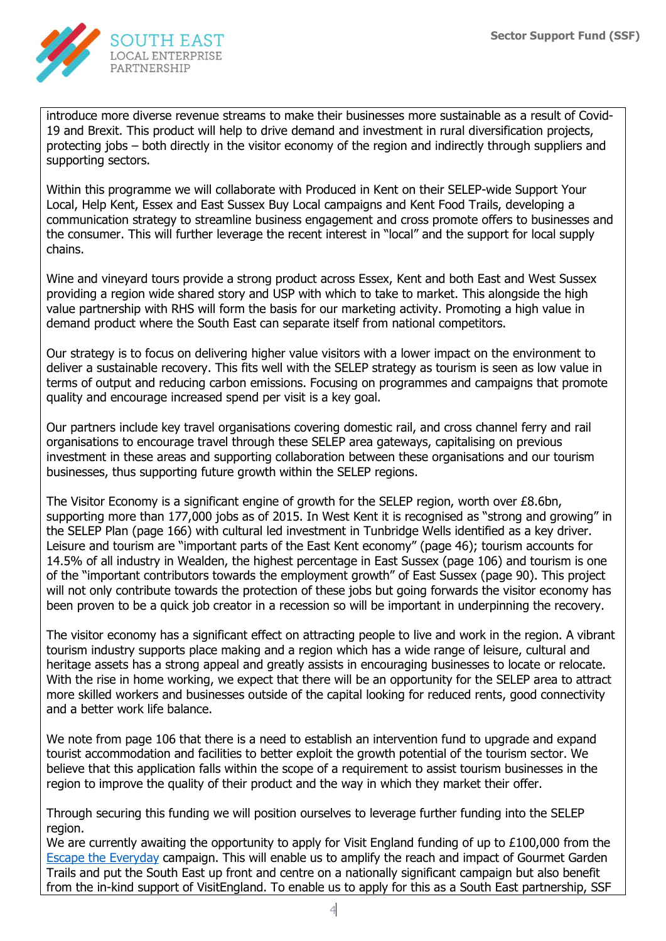

introduce more diverse revenue streams to make their businesses more sustainable as a result of Covid-19 and Brexit. This product will help to drive demand and investment in rural diversification projects, protecting jobs – both directly in the visitor economy of the region and indirectly through suppliers and supporting sectors.

Within this programme we will collaborate with Produced in Kent on their SELEP-wide Support Your Local, Help Kent, Essex and East Sussex Buy Local campaigns and Kent Food Trails, developing a communication strategy to streamline business engagement and cross promote offers to businesses and the consumer. This will further leverage the recent interest in "local" and the support for local supply chains.

Wine and vineyard tours provide a strong product across Essex, Kent and both East and West Sussex providing a region wide shared story and USP with which to take to market. This alongside the high value partnership with RHS will form the basis for our marketing activity. Promoting a high value in demand product where the South East can separate itself from national competitors.

Our strategy is to focus on delivering higher value visitors with a lower impact on the environment to deliver a sustainable recovery. This fits well with the SELEP strategy as tourism is seen as low value in terms of output and reducing carbon emissions. Focusing on programmes and campaigns that promote quality and encourage increased spend per visit is a key goal.

Our partners include key travel organisations covering domestic rail, and cross channel ferry and rail organisations to encourage travel through these SELEP area gateways, capitalising on previous investment in these areas and supporting collaboration between these organisations and our tourism businesses, thus supporting future growth within the SELEP regions.

The Visitor Economy is a significant engine of growth for the SELEP region, worth over £8.6bn, supporting more than 177,000 jobs as of 2015. In West Kent it is recognised as "strong and growing" in the SELEP Plan (page 166) with cultural led investment in Tunbridge Wells identified as a key driver. Leisure and tourism are "important parts of the East Kent economy" (page 46); tourism accounts for 14.5% of all industry in Wealden, the highest percentage in East Sussex (page 106) and tourism is one of the "important contributors towards the employment growth" of East Sussex (page 90). This project will not only contribute towards the protection of these jobs but going forwards the visitor economy has been proven to be a quick job creator in a recession so will be important in underpinning the recovery.

The visitor economy has a significant effect on attracting people to live and work in the region. A vibrant tourism industry supports place making and a region which has a wide range of leisure, cultural and heritage assets has a strong appeal and greatly assists in encouraging businesses to locate or relocate. With the rise in home working, we expect that there will be an opportunity for the SELEP area to attract more skilled workers and businesses outside of the capital looking for reduced rents, good connectivity and a better work life balance.

We note from page 106 that there is a need to establish an intervention fund to upgrade and expand tourist accommodation and facilities to better exploit the growth potential of the tourism sector. We believe that this application falls within the scope of a requirement to assist tourism businesses in the region to improve the quality of their product and the way in which they market their offer.

Through securing this funding we will position ourselves to leverage further funding into the SELEP region.

We are currently awaiting the opportunity to apply for Visit England funding of up to £100,000 from the Escape the Everyday campaign. This will enable us to amplify the reach and impact of Gourmet Garden Trails and put the South East up front and centre on a nationally significant campaign but also benefit from the in-kind support of VisitEngland. To enable us to apply for this as a South East partnership, SSF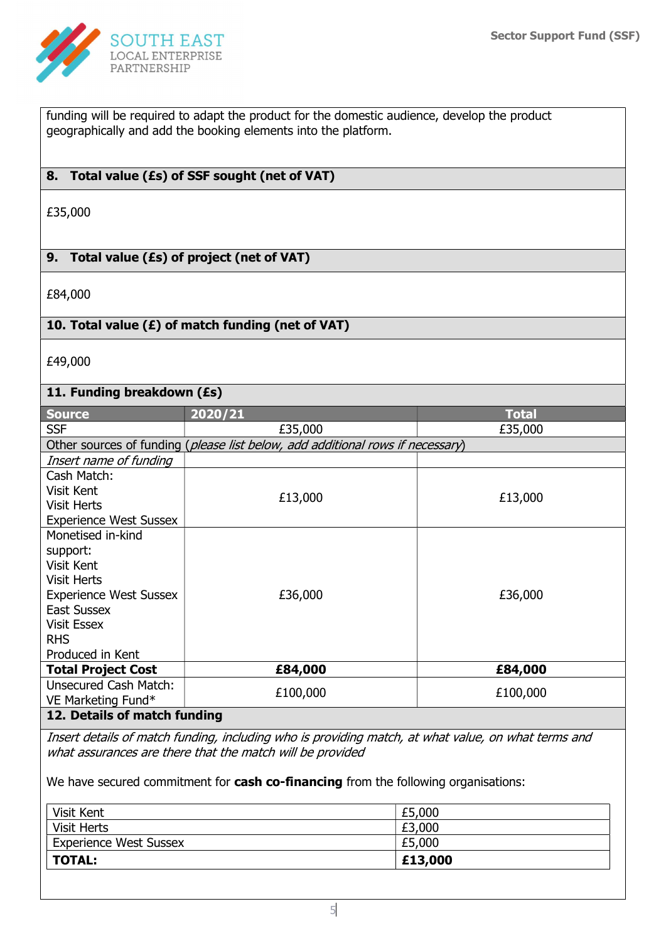

funding will be required to adapt the product for the domestic audience, develop the product geographically and add the booking elements into the platform.

# 8. Total value (£s) of SSF sought (net of VAT)

£35,000

# 9. Total value (£s) of project (net of VAT)

£84,000

### 10. Total value (£) of match funding (net of VAT)

£49,000

# 11. Funding breakdown (£s)

| <b>Source</b>                 | 2020/21                                                                        | <b>Total</b> |  |  |  |
|-------------------------------|--------------------------------------------------------------------------------|--------------|--|--|--|
| <b>SSF</b>                    | £35,000                                                                        | £35,000      |  |  |  |
|                               | Other sources of funding (please list below, add additional rows if necessary) |              |  |  |  |
| Insert name of funding        |                                                                                |              |  |  |  |
| Cash Match:                   |                                                                                |              |  |  |  |
| Visit Kent                    | £13,000                                                                        |              |  |  |  |
| <b>Visit Herts</b>            |                                                                                | £13,000      |  |  |  |
| <b>Experience West Sussex</b> |                                                                                |              |  |  |  |
| Monetised in-kind             |                                                                                |              |  |  |  |
| support:                      |                                                                                |              |  |  |  |
| Visit Kent                    |                                                                                |              |  |  |  |
| <b>Visit Herts</b>            |                                                                                |              |  |  |  |
| <b>Experience West Sussex</b> | £36,000                                                                        | £36,000      |  |  |  |
| <b>East Sussex</b>            |                                                                                |              |  |  |  |
| <b>Visit Essex</b>            |                                                                                |              |  |  |  |
| <b>RHS</b>                    |                                                                                |              |  |  |  |
| Produced in Kent              |                                                                                |              |  |  |  |
| <b>Total Project Cost</b>     | £84,000                                                                        | £84,000      |  |  |  |
| <b>Unsecured Cash Match:</b>  | £100,000                                                                       | £100,000     |  |  |  |
| VE Marketing Fund*            |                                                                                |              |  |  |  |
| 12. Details of match funding  |                                                                                |              |  |  |  |

Insert details of match funding, including who is providing match, at what value, on what terms and what assurances are there that the match will be provided

We have secured commitment for cash co-financing from the following organisations:

| Visit Kent                    | £5,000  |
|-------------------------------|---------|
| <b>Visit Herts</b>            | £3,000  |
| <b>Experience West Sussex</b> | £5,000  |
| <b>TOTAL:</b>                 | £13,000 |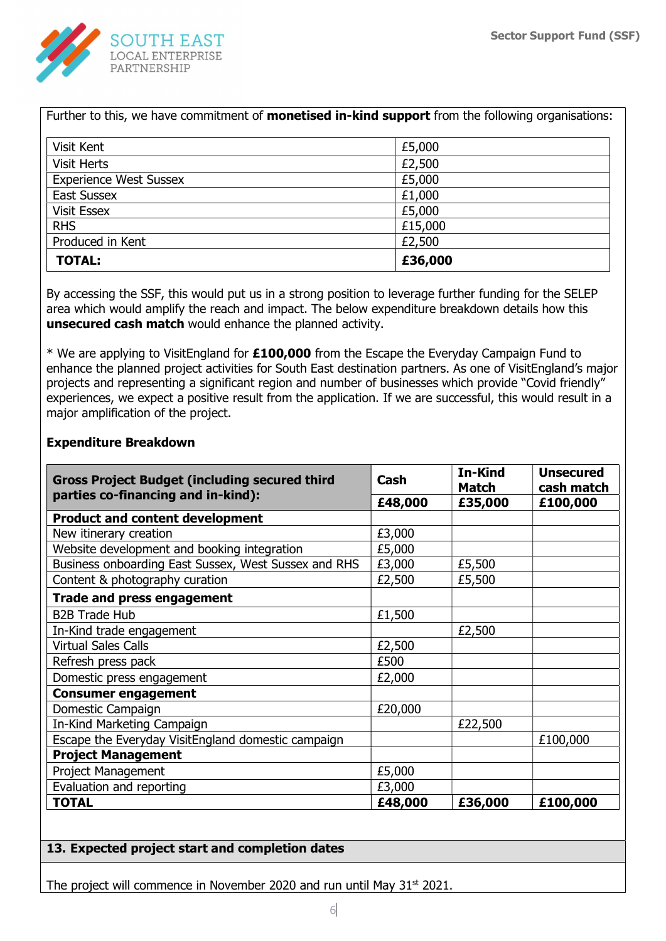

| <b>TOTAL:</b>                 | £36,000 |  |
|-------------------------------|---------|--|
| Produced in Kent              | £2,500  |  |
| <b>RHS</b>                    | £15,000 |  |
| <b>Visit Essex</b>            | £5,000  |  |
| <b>East Sussex</b>            | £1,000  |  |
| <b>Experience West Sussex</b> | £5,000  |  |
| <b>Visit Herts</b>            | £2,500  |  |
| Visit Kent                    | £5,000  |  |

By accessing the SSF, this would put us in a strong position to leverage further funding for the SELEP area which would amplify the reach and impact. The below expenditure breakdown details how this unsecured cash match would enhance the planned activity.

\* We are applying to VisitEngland for £100,000 from the Escape the Everyday Campaign Fund to enhance the planned project activities for South East destination partners. As one of VisitEngland's major projects and representing a significant region and number of businesses which provide "Covid friendly" experiences, we expect a positive result from the application. If we are successful, this would result in a major amplification of the project.

| <b>Gross Project Budget (including secured third</b><br>parties co-financing and in-kind): | Cash    | In-Kind<br><b>Match</b> | <b>Unsecured</b><br>cash match |
|--------------------------------------------------------------------------------------------|---------|-------------------------|--------------------------------|
|                                                                                            | £48,000 | £35,000                 | £100,000                       |
| <b>Product and content development</b>                                                     |         |                         |                                |
| New itinerary creation                                                                     | £3,000  |                         |                                |
| Website development and booking integration                                                | £5,000  |                         |                                |
| Business onboarding East Sussex, West Sussex and RHS                                       | £3,000  | £5,500                  |                                |
| Content & photography curation                                                             | £2,500  | £5,500                  |                                |
| <b>Trade and press engagement</b>                                                          |         |                         |                                |
| <b>B2B Trade Hub</b>                                                                       | £1,500  |                         |                                |
| In-Kind trade engagement                                                                   |         | £2,500                  |                                |
| <b>Virtual Sales Calls</b>                                                                 | £2,500  |                         |                                |
| Refresh press pack                                                                         | £500    |                         |                                |
| Domestic press engagement                                                                  | £2,000  |                         |                                |
| <b>Consumer engagement</b>                                                                 |         |                         |                                |
| Domestic Campaign                                                                          | £20,000 |                         |                                |
| In-Kind Marketing Campaign                                                                 |         | £22,500                 |                                |
| Escape the Everyday VisitEngland domestic campaign                                         |         |                         | £100,000                       |
| <b>Project Management</b>                                                                  |         |                         |                                |
| <b>Project Management</b>                                                                  | £5,000  |                         |                                |
| Evaluation and reporting                                                                   | £3,000  |                         |                                |
| <b>TOTAL</b>                                                                               | £48,000 | £36,000                 | £100,000                       |

#### Expenditure Breakdown

#### 13. Expected project start and completion dates

The project will commence in November 2020 and run until May  $31<sup>st</sup> 2021$ .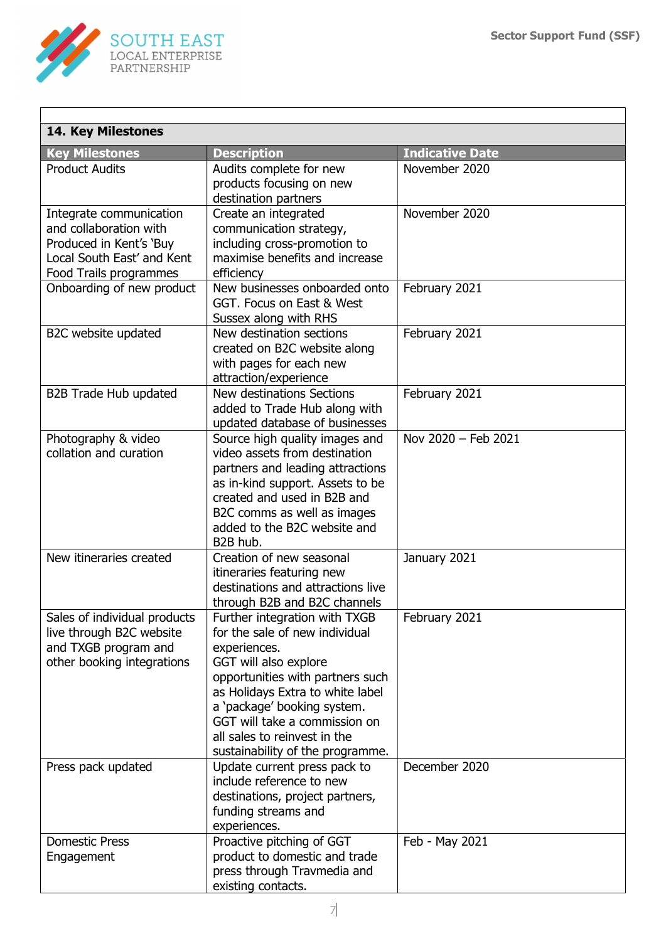

I

| 14. Key Milestones                                                                                                                   |                                                                                                                                                                                                                                                                                                                      |                        |  |  |
|--------------------------------------------------------------------------------------------------------------------------------------|----------------------------------------------------------------------------------------------------------------------------------------------------------------------------------------------------------------------------------------------------------------------------------------------------------------------|------------------------|--|--|
| <b>Key Milestones</b>                                                                                                                | <b>Description</b>                                                                                                                                                                                                                                                                                                   | <b>Indicative Date</b> |  |  |
| <b>Product Audits</b>                                                                                                                | Audits complete for new<br>products focusing on new<br>destination partners                                                                                                                                                                                                                                          | November 2020          |  |  |
| Integrate communication<br>and collaboration with<br>Produced in Kent's 'Buy<br>Local South East' and Kent<br>Food Trails programmes | Create an integrated<br>communication strategy,<br>including cross-promotion to<br>maximise benefits and increase<br>efficiency                                                                                                                                                                                      | November 2020          |  |  |
| Onboarding of new product                                                                                                            | New businesses onboarded onto<br>GGT. Focus on East & West<br>Sussex along with RHS                                                                                                                                                                                                                                  | February 2021          |  |  |
| B2C website updated                                                                                                                  | New destination sections<br>created on B2C website along<br>with pages for each new<br>attraction/experience                                                                                                                                                                                                         | February 2021          |  |  |
| B2B Trade Hub updated                                                                                                                | New destinations Sections<br>added to Trade Hub along with<br>updated database of businesses                                                                                                                                                                                                                         | February 2021          |  |  |
| Photography & video<br>collation and curation                                                                                        | Source high quality images and<br>video assets from destination<br>partners and leading attractions<br>as in-kind support. Assets to be<br>created and used in B2B and<br>B2C comms as well as images<br>added to the B2C website and<br>B <sub>2</sub> B hub.                                                       | Nov 2020 - Feb 2021    |  |  |
| New itineraries created                                                                                                              | Creation of new seasonal<br>itineraries featuring new<br>destinations and attractions live<br>through B2B and B2C channels                                                                                                                                                                                           | January 2021           |  |  |
| Sales of individual products<br>live through B2C website<br>and TXGB program and<br>other booking integrations                       | Further integration with TXGB<br>for the sale of new individual<br>experiences.<br>GGT will also explore<br>opportunities with partners such<br>as Holidays Extra to white label<br>a 'package' booking system.<br>GGT will take a commission on<br>all sales to reinvest in the<br>sustainability of the programme. | February 2021          |  |  |
| Press pack updated                                                                                                                   | Update current press pack to<br>include reference to new<br>destinations, project partners,<br>funding streams and<br>experiences.                                                                                                                                                                                   | December 2020          |  |  |
| <b>Domestic Press</b><br>Engagement                                                                                                  | Proactive pitching of GGT<br>product to domestic and trade<br>press through Travmedia and<br>existing contacts.                                                                                                                                                                                                      | Feb - May 2021         |  |  |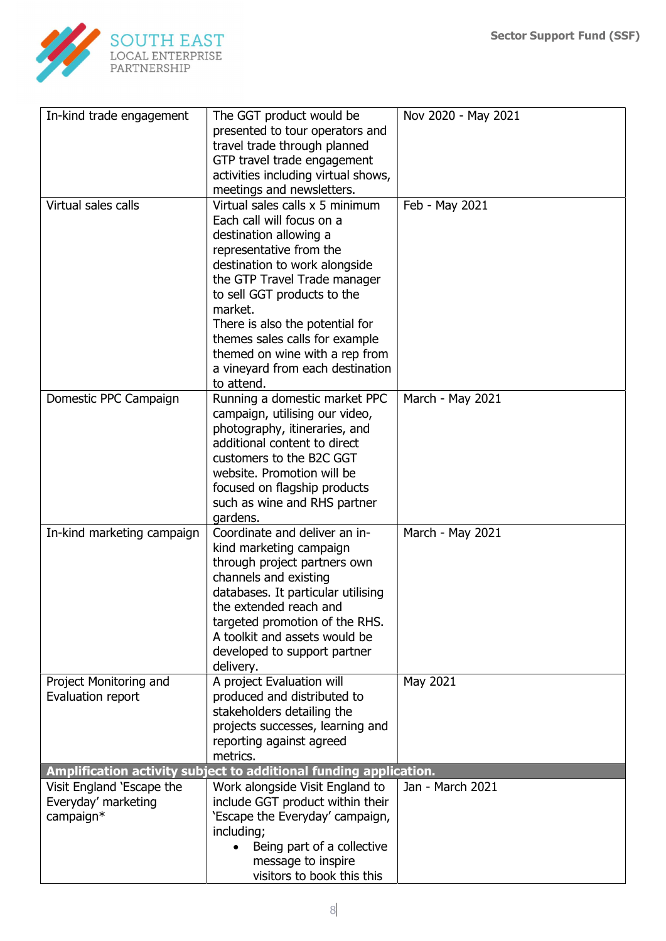

| In-kind trade engagement   | The GGT product would be                                          | Nov 2020 - May 2021 |
|----------------------------|-------------------------------------------------------------------|---------------------|
|                            | presented to tour operators and                                   |                     |
|                            | travel trade through planned                                      |                     |
|                            | GTP travel trade engagement                                       |                     |
|                            | activities including virtual shows,                               |                     |
|                            | meetings and newsletters.                                         |                     |
| Virtual sales calls        | Virtual sales calls x 5 minimum                                   | Feb - May 2021      |
|                            | Each call will focus on a                                         |                     |
|                            | destination allowing a                                            |                     |
|                            | representative from the                                           |                     |
|                            | destination to work alongside                                     |                     |
|                            | the GTP Travel Trade manager                                      |                     |
|                            | to sell GGT products to the                                       |                     |
|                            | market.                                                           |                     |
|                            |                                                                   |                     |
|                            | There is also the potential for                                   |                     |
|                            | themes sales calls for example                                    |                     |
|                            | themed on wine with a rep from                                    |                     |
|                            | a vineyard from each destination                                  |                     |
|                            | to attend.                                                        |                     |
| Domestic PPC Campaign      | Running a domestic market PPC                                     | March - May 2021    |
|                            | campaign, utilising our video,                                    |                     |
|                            | photography, itineraries, and                                     |                     |
|                            | additional content to direct                                      |                     |
|                            | customers to the B2C GGT                                          |                     |
|                            | website. Promotion will be                                        |                     |
|                            | focused on flagship products                                      |                     |
|                            | such as wine and RHS partner                                      |                     |
|                            | gardens.                                                          |                     |
| In-kind marketing campaign | Coordinate and deliver an in-                                     | March - May 2021    |
|                            | kind marketing campaign                                           |                     |
|                            | through project partners own                                      |                     |
|                            | channels and existing                                             |                     |
|                            | databases. It particular utilising                                |                     |
|                            | the extended reach and                                            |                     |
|                            | targeted promotion of the RHS.                                    |                     |
|                            | A toolkit and assets would be                                     |                     |
|                            | developed to support partner                                      |                     |
|                            | delivery.                                                         |                     |
| Project Monitoring and     | A project Evaluation will                                         | May 2021            |
| Evaluation report          | produced and distributed to                                       |                     |
|                            | stakeholders detailing the                                        |                     |
|                            | projects successes, learning and                                  |                     |
|                            | reporting against agreed                                          |                     |
|                            | metrics.                                                          |                     |
|                            | Amplification activity subject to additional funding application. |                     |
| Visit England 'Escape the  | Work alongside Visit England to                                   | Jan - March 2021    |
| Everyday' marketing        | include GGT product within their                                  |                     |
| campaign*                  | 'Escape the Everyday' campaign,                                   |                     |
|                            | including;                                                        |                     |
|                            | Being part of a collective                                        |                     |
|                            | message to inspire                                                |                     |
|                            |                                                                   |                     |
|                            | visitors to book this this                                        |                     |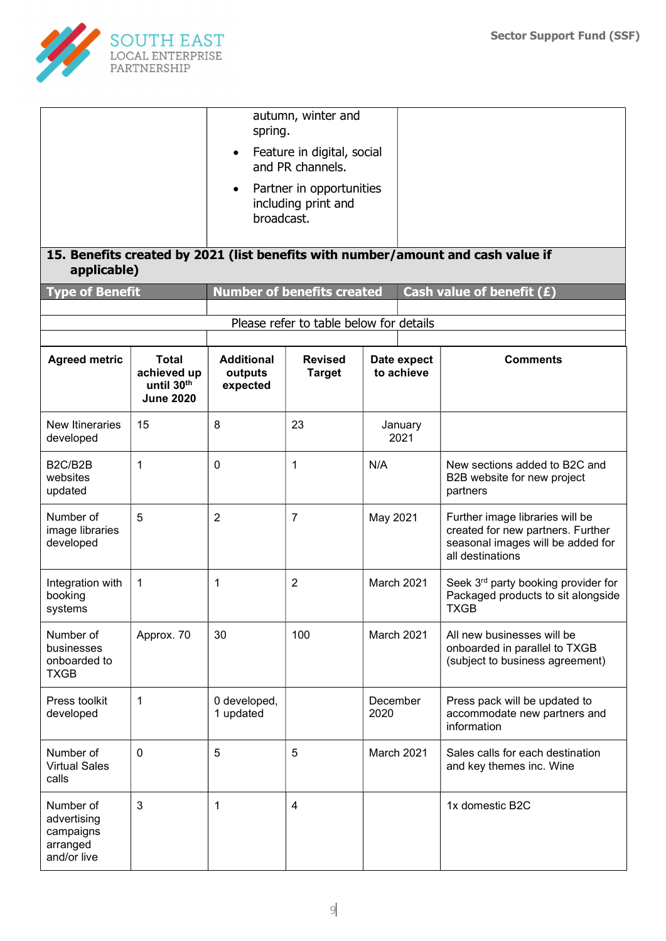

| applicable)<br><b>Type of Benefit</b>                            |                                                               | spring.<br>$\bullet$<br>broadcast.       | autumn, winter and<br>Feature in digital, social<br>and PR channels.<br>Partner in opportunities<br>including print and<br><b>Number of benefits created</b> |                  |                           | 15. Benefits created by 2021 (list benefits with number/amount and cash value if<br>Cash value of benefit $(E)$               |
|------------------------------------------------------------------|---------------------------------------------------------------|------------------------------------------|--------------------------------------------------------------------------------------------------------------------------------------------------------------|------------------|---------------------------|-------------------------------------------------------------------------------------------------------------------------------|
|                                                                  |                                                               |                                          | Please refer to table below for details                                                                                                                      |                  |                           |                                                                                                                               |
| <b>Agreed metric</b>                                             | <b>Total</b><br>achieved up<br>until 30th<br><b>June 2020</b> | <b>Additional</b><br>outputs<br>expected | <b>Revised</b><br><b>Target</b>                                                                                                                              |                  | Date expect<br>to achieve | <b>Comments</b>                                                                                                               |
| New Itineraries<br>developed                                     | 15                                                            | 8                                        | 23                                                                                                                                                           |                  | January<br>2021           |                                                                                                                               |
| B2C/B2B<br>websites<br>updated                                   | 1                                                             | $\mathbf{0}$                             | 1                                                                                                                                                            | N/A              |                           | New sections added to B2C and<br>B2B website for new project<br>partners                                                      |
| Number of<br>image libraries<br>developed                        | 5                                                             | $\overline{2}$                           | $\overline{7}$                                                                                                                                               | May 2021         |                           | Further image libraries will be<br>created for new partners. Further<br>seasonal images will be added for<br>all destinations |
| Integration with<br>booking<br>systems                           | 1                                                             | 1                                        | $\overline{2}$                                                                                                                                               | March 2021       |                           | Seek 3rd party booking provider for<br>Packaged products to sit alongside<br><b>TXGB</b>                                      |
| Number of<br>businesses<br>onboarded to<br><b>TXGB</b>           | Approx. 70                                                    | 30                                       | 100                                                                                                                                                          | March 2021       |                           | All new businesses will be<br>onboarded in parallel to TXGB<br>(subject to business agreement)                                |
| Press toolkit<br>developed                                       | 1                                                             | 0 developed,<br>1 updated                |                                                                                                                                                              | December<br>2020 |                           | Press pack will be updated to<br>accommodate new partners and<br>information                                                  |
| Number of<br><b>Virtual Sales</b><br>calls                       | $\mathbf 0$                                                   | 5                                        | 5                                                                                                                                                            | March 2021       |                           | Sales calls for each destination<br>and key themes inc. Wine                                                                  |
| Number of<br>advertising<br>campaigns<br>arranged<br>and/or live | 3                                                             | 1                                        | 4                                                                                                                                                            |                  |                           | 1x domestic B2C                                                                                                               |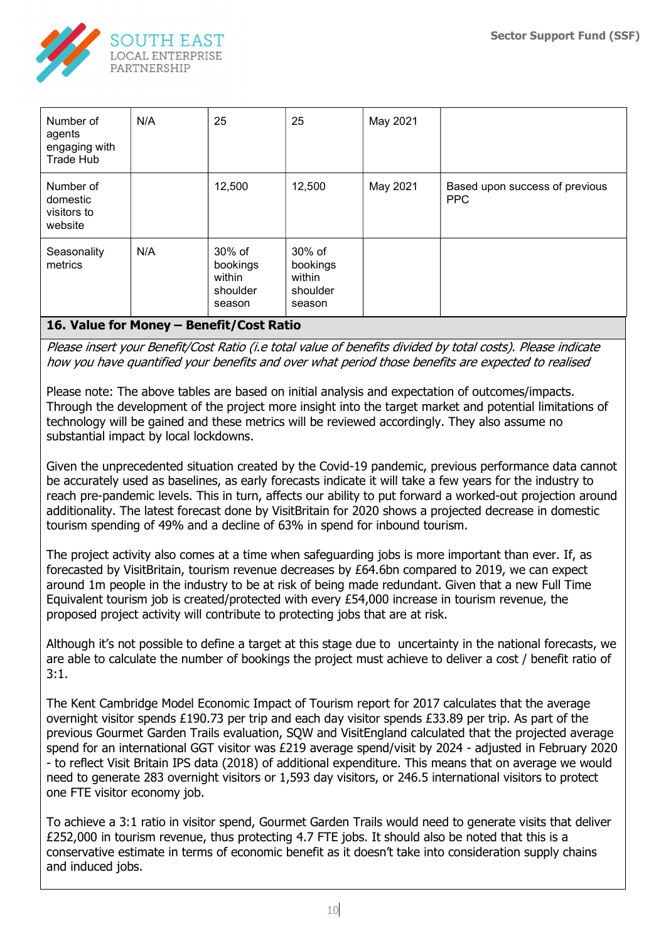

| Number of<br>agents<br>engaging with<br>Trade Hub | N/A | 25                                                               | 25                                                 | May 2021 |                                              |
|---------------------------------------------------|-----|------------------------------------------------------------------|----------------------------------------------------|----------|----------------------------------------------|
| Number of<br>domestic<br>visitors to<br>website   |     | 12,500                                                           | 12,500                                             | May 2021 | Based upon success of previous<br><b>PPC</b> |
| Seasonality<br>metrics<br>.                       | N/A | 30% of<br>bookings<br>within<br>shoulder<br>season<br>---------- | 30% of<br>bookings<br>within<br>shoulder<br>season |          |                                              |

### 16. Value for Money – Benefit/Cost Ratio

Please insert your Benefit/Cost Ratio (i.e total value of benefits divided by total costs). Please indicate how you have quantified your benefits and over what period those benefits are expected to realised

Please note: The above tables are based on initial analysis and expectation of outcomes/impacts. Through the development of the project more insight into the target market and potential limitations of technology will be gained and these metrics will be reviewed accordingly. They also assume no substantial impact by local lockdowns.

Given the unprecedented situation created by the Covid-19 pandemic, previous performance data cannot be accurately used as baselines, as early forecasts indicate it will take a few years for the industry to reach pre-pandemic levels. This in turn, affects our ability to put forward a worked-out projection around additionality. The latest forecast done by VisitBritain for 2020 shows a projected decrease in domestic tourism spending of 49% and a decline of 63% in spend for inbound tourism.

The project activity also comes at a time when safeguarding jobs is more important than ever. If, as forecasted by VisitBritain, tourism revenue decreases by £64.6bn compared to 2019, we can expect around 1m people in the industry to be at risk of being made redundant. Given that a new Full Time Equivalent tourism job is created/protected with every £54,000 increase in tourism revenue, the proposed project activity will contribute to protecting jobs that are at risk.

Although it's not possible to define a target at this stage due to uncertainty in the national forecasts, we are able to calculate the number of bookings the project must achieve to deliver a cost / benefit ratio of 3:1.

The Kent Cambridge Model Economic Impact of Tourism report for 2017 calculates that the average overnight visitor spends £190.73 per trip and each day visitor spends £33.89 per trip. As part of the previous Gourmet Garden Trails evaluation, SQW and VisitEngland calculated that the projected average spend for an international GGT visitor was £219 average spend/visit by 2024 - adjusted in February 2020 - to reflect Visit Britain IPS data (2018) of additional expenditure. This means that on average we would need to generate 283 overnight visitors or 1,593 day visitors, or 246.5 international visitors to protect one FTE visitor economy job.

To achieve a 3:1 ratio in visitor spend, Gourmet Garden Trails would need to generate visits that deliver £252,000 in tourism revenue, thus protecting 4.7 FTE jobs. It should also be noted that this is a conservative estimate in terms of economic benefit as it doesn't take into consideration supply chains and induced jobs.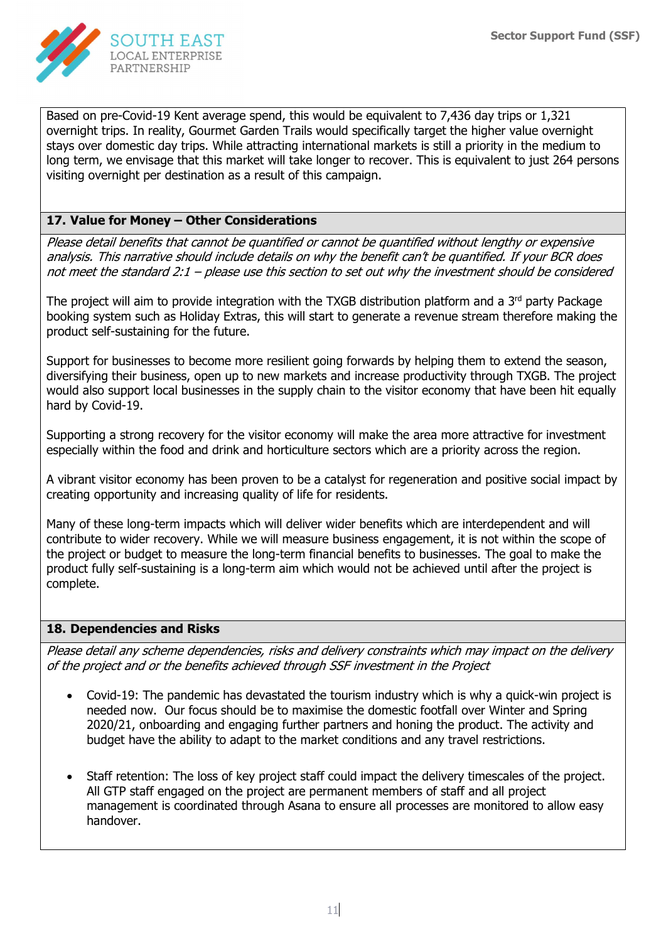

Based on pre-Covid-19 Kent average spend, this would be equivalent to 7,436 day trips or 1,321 overnight trips. In reality, Gourmet Garden Trails would specifically target the higher value overnight stays over domestic day trips. While attracting international markets is still a priority in the medium to long term, we envisage that this market will take longer to recover. This is equivalent to just 264 persons visiting overnight per destination as a result of this campaign.

### 17. Value for Money – Other Considerations

Please detail benefits that cannot be quantified or cannot be quantified without lengthy or expensive analysis. This narrative should include details on why the benefit can't be quantified. If your BCR does not meet the standard 2:1 – please use this section to set out why the investment should be considered

The project will aim to provide integration with the TXGB distribution platform and a  $3<sup>rd</sup>$  party Package booking system such as Holiday Extras, this will start to generate a revenue stream therefore making the product self-sustaining for the future.

Support for businesses to become more resilient going forwards by helping them to extend the season, diversifying their business, open up to new markets and increase productivity through TXGB. The project would also support local businesses in the supply chain to the visitor economy that have been hit equally hard by Covid-19.

Supporting a strong recovery for the visitor economy will make the area more attractive for investment especially within the food and drink and horticulture sectors which are a priority across the region.

A vibrant visitor economy has been proven to be a catalyst for regeneration and positive social impact by creating opportunity and increasing quality of life for residents.

Many of these long-term impacts which will deliver wider benefits which are interdependent and will contribute to wider recovery. While we will measure business engagement, it is not within the scope of the project or budget to measure the long-term financial benefits to businesses. The goal to make the product fully self-sustaining is a long-term aim which would not be achieved until after the project is complete.

#### 18. Dependencies and Risks

Please detail any scheme dependencies, risks and delivery constraints which may impact on the delivery of the project and or the benefits achieved through SSF investment in the Project

- Covid-19: The pandemic has devastated the tourism industry which is why a quick-win project is needed now. Our focus should be to maximise the domestic footfall over Winter and Spring 2020/21, onboarding and engaging further partners and honing the product. The activity and budget have the ability to adapt to the market conditions and any travel restrictions.
- Staff retention: The loss of key project staff could impact the delivery timescales of the project. All GTP staff engaged on the project are permanent members of staff and all project management is coordinated through Asana to ensure all processes are monitored to allow easy handover.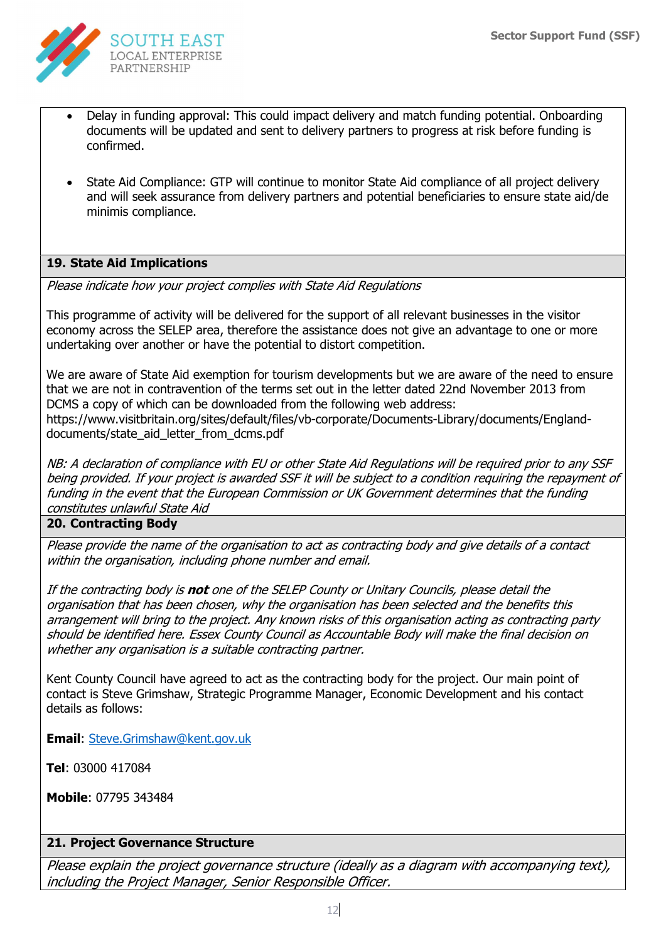

- Delay in funding approval: This could impact delivery and match funding potential. Onboarding documents will be updated and sent to delivery partners to progress at risk before funding is confirmed.
- State Aid Compliance: GTP will continue to monitor State Aid compliance of all project delivery and will seek assurance from delivery partners and potential beneficiaries to ensure state aid/de minimis compliance.

# 19. State Aid Implications

Please indicate how your project complies with State Aid Regulations

This programme of activity will be delivered for the support of all relevant businesses in the visitor economy across the SELEP area, therefore the assistance does not give an advantage to one or more undertaking over another or have the potential to distort competition.

We are aware of State Aid exemption for tourism developments but we are aware of the need to ensure that we are not in contravention of the terms set out in the letter dated 22nd November 2013 from DCMS a copy of which can be downloaded from the following web address: https://www.visitbritain.org/sites/default/files/vb-corporate/Documents-Library/documents/Englanddocuments/state\_aid\_letter\_from\_dcms.pdf

NB: A declaration of compliance with EU or other State Aid Regulations will be required prior to any SSF being provided. If your project is awarded SSF it will be subject to a condition requiring the repayment of funding in the event that the European Commission or UK Government determines that the funding constitutes unlawful State Aid

#### 20. Contracting Body

Please provide the name of the organisation to act as contracting body and give details of a contact within the organisation, including phone number and email.

If the contracting body is **not** one of the SELEP County or Unitary Councils, please detail the organisation that has been chosen, why the organisation has been selected and the benefits this arrangement will bring to the project. Any known risks of this organisation acting as contracting party should be identified here. Essex County Council as Accountable Body will make the final decision on whether any organisation is a suitable contracting partner.

Kent County Council have agreed to act as the contracting body for the project. Our main point of contact is Steve Grimshaw, Strategic Programme Manager, Economic Development and his contact details as follows:

Email: Steve.Grimshaw@kent.gov.uk

Tel: 03000 417084

Mobile: 07795 343484

#### 21. Project Governance Structure

Please explain the project governance structure (ideally as a diagram with accompanying text), including the Project Manager, Senior Responsible Officer.